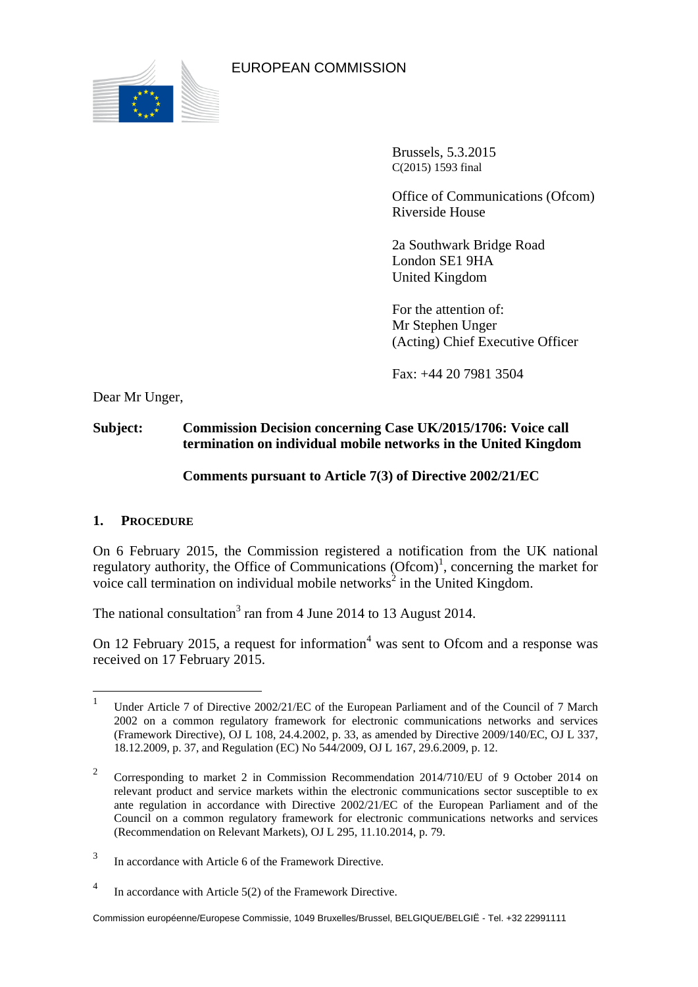

EUROPEAN COMMISSION

Brussels, 5.3.2015 C(2015) 1593 final

Office of Communications (Ofcom) Riverside House

2a Southwark Bridge Road London SE1 9HA United Kingdom

For the attention of: Mr Stephen Unger (Acting) Chief Executive Officer

Fax: +44 20 7981 3504

Dear Mr Unger,

# **Subject: Commission Decision concerning Case UK/2015/1706: Voice call termination on individual mobile networks in the United Kingdom**

# **Comments pursuant to Article 7(3) of Directive 2002/21/EC**

## **1. PROCEDURE**

On 6 February 2015, the Commission registered a notification from the UK national regulatory authority, the Office of Communications  $(Ofcom)^{1}$ , concerning the market for voice call termination on individual mobile networks<sup>2</sup> in the United Kingdom.

The national consultation<sup>3</sup> ran from 4 June 2014 to 13 August 2014.

On 12 February 2015, a request for information<sup>4</sup> was sent to Ofcom and a response was received on 17 February 2015.

 $\frac{1}{1}$ Under Article 7 of Directive 2002/21/EC of the European Parliament and of the Council of 7 March 2002 on a common regulatory framework for electronic communications networks and services (Framework Directive), OJ L 108, 24.4.2002, p. 33, as amended by Directive 2009/140/EC, OJ L 337, 18.12.2009, p. 37, and Regulation (EC) No 544/2009, OJ L 167, 29.6.2009, p. 12.

<sup>2</sup> Corresponding to market 2 in Commission Recommendation 2014/710/EU of 9 October 2014 on relevant product and service markets within the electronic communications sector susceptible to ex ante regulation in accordance with Directive 2002/21/EC of the European Parliament and of the Council on a common regulatory framework for electronic communications networks and services (Recommendation on Relevant Markets), OJ L 295, 11.10.2014, p. 79.

<sup>3</sup> In accordance with Article 6 of the Framework Directive.

<sup>4</sup> In accordance with Article 5(2) of the Framework Directive.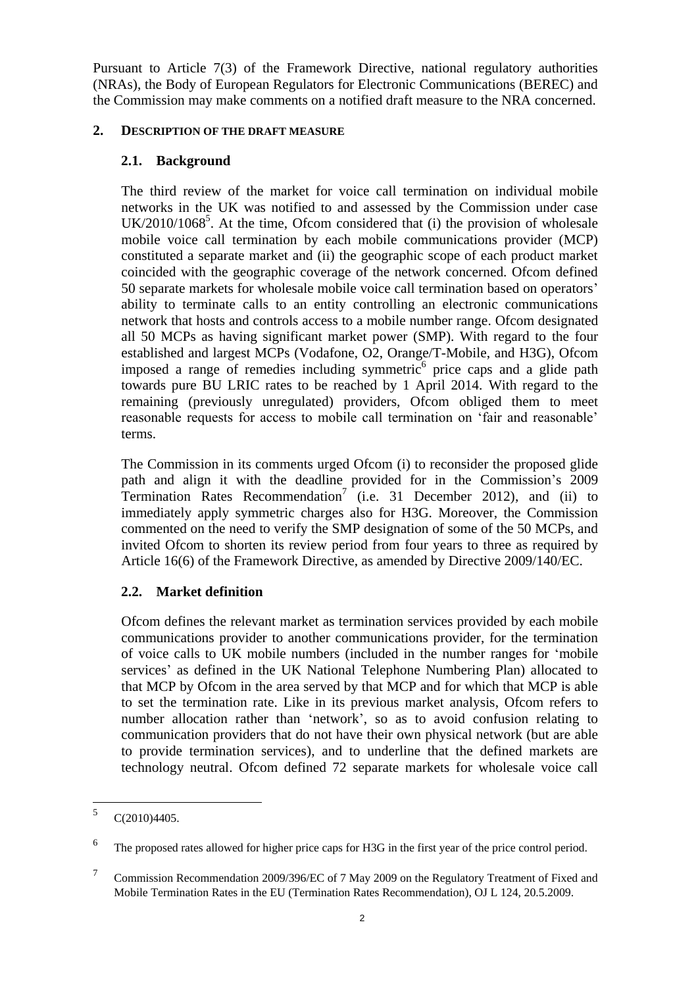Pursuant to Article 7(3) of the Framework Directive, national regulatory authorities (NRAs), the Body of European Regulators for Electronic Communications (BEREC) and the Commission may make comments on a notified draft measure to the NRA concerned.

#### **2. DESCRIPTION OF THE DRAFT MEASURE**

## **2.1. Background**

The third review of the market for voice call termination on individual mobile networks in the UK was notified to and assessed by the Commission under case  $UK/2010/1068<sup>5</sup>$ . At the time, Ofcom considered that (i) the provision of wholesale mobile voice call termination by each mobile communications provider (MCP) constituted a separate market and (ii) the geographic scope of each product market coincided with the geographic coverage of the network concerned. Ofcom defined 50 separate markets for wholesale mobile voice call termination based on operators' ability to terminate calls to an entity controlling an electronic communications network that hosts and controls access to a mobile number range. Ofcom designated all 50 MCPs as having significant market power (SMP). With regard to the four established and largest MCPs (Vodafone, O2, Orange/T-Mobile, and H3G), Ofcom imposed a range of remedies including symmetric<sup>6</sup> price caps and a glide path towards pure BU LRIC rates to be reached by 1 April 2014. With regard to the remaining (previously unregulated) providers, Ofcom obliged them to meet reasonable requests for access to mobile call termination on 'fair and reasonable' terms.

The Commission in its comments urged Ofcom (i) to reconsider the proposed glide path and align it with the deadline provided for in the Commission's 2009 Termination Rates Recommendation<sup>7</sup> (i.e. 31 December 2012), and (ii) to immediately apply symmetric charges also for H3G. Moreover, the Commission commented on the need to verify the SMP designation of some of the 50 MCPs, and invited Ofcom to shorten its review period from four years to three as required by Article 16(6) of the Framework Directive, as amended by Directive 2009/140/EC.

## **2.2. Market definition**

Ofcom defines the relevant market as termination services provided by each mobile communications provider to another communications provider, for the termination of voice calls to UK mobile numbers (included in the number ranges for 'mobile services' as defined in the UK National Telephone Numbering Plan) allocated to that MCP by Ofcom in the area served by that MCP and for which that MCP is able to set the termination rate. Like in its previous market analysis, Ofcom refers to number allocation rather than 'network', so as to avoid confusion relating to communication providers that do not have their own physical network (but are able to provide termination services), and to underline that the defined markets are technology neutral. Ofcom defined 72 separate markets for wholesale voice call

 $\frac{1}{5}$ C(2010)4405.

<sup>6</sup> The proposed rates allowed for higher price caps for H3G in the first year of the price control period.

<sup>7</sup> Commission Recommendation 2009/396/EC of 7 May 2009 on the Regulatory Treatment of Fixed and Mobile Termination Rates in the EU (Termination Rates Recommendation), OJ L 124, 20.5.2009.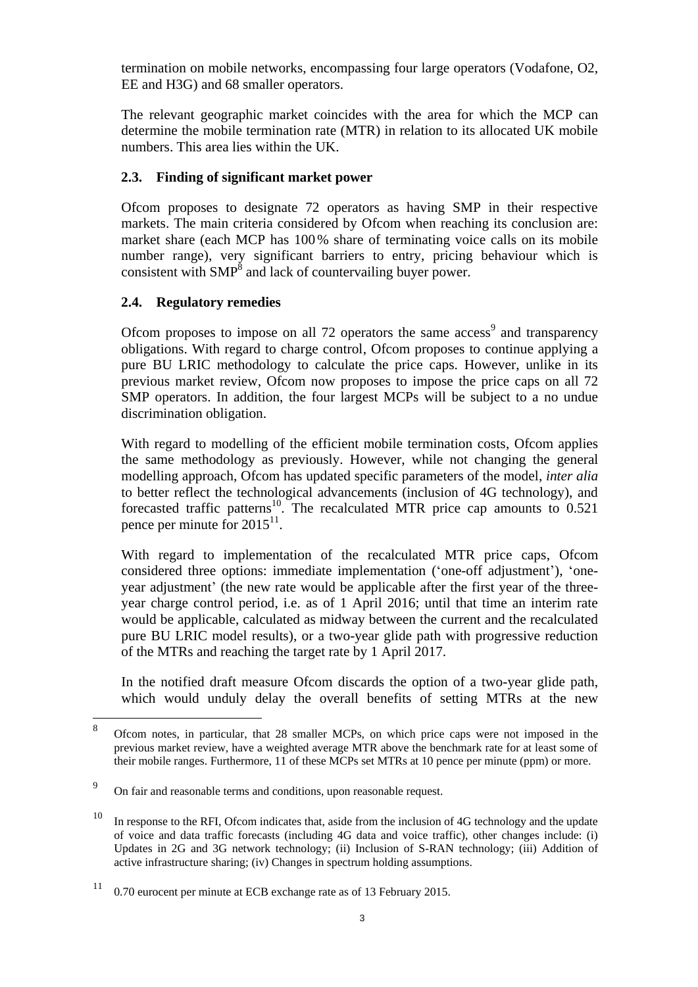termination on mobile networks, encompassing four large operators (Vodafone, O2, EE and H3G) and 68 smaller operators.

The relevant geographic market coincides with the area for which the MCP can determine the mobile termination rate (MTR) in relation to its allocated UK mobile numbers. This area lies within the UK.

#### **2.3. Finding of significant market power**

Ofcom proposes to designate 72 operators as having SMP in their respective markets. The main criteria considered by Ofcom when reaching its conclusion are: market share (each MCP has 100% share of terminating voice calls on its mobile number range), very significant barriers to entry, pricing behaviour which is consistent with  $\text{SMP}^8$  and lack of countervailing buyer power.

#### **2.4. Regulatory remedies**

Ofcom proposes to impose on all  $72$  operators the same access<sup>9</sup> and transparency obligations. With regard to charge control, Ofcom proposes to continue applying a pure BU LRIC methodology to calculate the price caps. However, unlike in its previous market review, Ofcom now proposes to impose the price caps on all 72 SMP operators. In addition, the four largest MCPs will be subject to a no undue discrimination obligation.

With regard to modelling of the efficient mobile termination costs, Ofcom applies the same methodology as previously. However, while not changing the general modelling approach, Ofcom has updated specific parameters of the model, *inter alia* to better reflect the technological advancements (inclusion of 4G technology), and forecasted traffic patterns<sup>10</sup>. The recalculated MTR price cap amounts to  $0.521$ pence per minute for  $2015^{11}$ .

With regard to implementation of the recalculated MTR price caps, Ofcom considered three options: immediate implementation ('one-off adjustment'), 'oneyear adjustment' (the new rate would be applicable after the first year of the threeyear charge control period, i.e. as of 1 April 2016; until that time an interim rate would be applicable, calculated as midway between the current and the recalculated pure BU LRIC model results), or a two-year glide path with progressive reduction of the MTRs and reaching the target rate by 1 April 2017.

In the notified draft measure Ofcom discards the option of a two-year glide path, which would unduly delay the overall benefits of setting MTRs at the new

 8 Ofcom notes, in particular, that 28 smaller MCPs, on which price caps were not imposed in the previous market review, have a weighted average MTR above the benchmark rate for at least some of their mobile ranges. Furthermore, 11 of these MCPs set MTRs at 10 pence per minute (ppm) or more.

<sup>9</sup> On fair and reasonable terms and conditions, upon reasonable request.

<sup>&</sup>lt;sup>10</sup> In response to the RFI, Ofcom indicates that, aside from the inclusion of 4G technology and the update of voice and data traffic forecasts (including 4G data and voice traffic), other changes include: (i) Updates in 2G and 3G network technology; (ii) Inclusion of S-RAN technology; (iii) Addition of active infrastructure sharing; (iv) Changes in spectrum holding assumptions.

 $11$  0.70 eurocent per minute at ECB exchange rate as of 13 February 2015.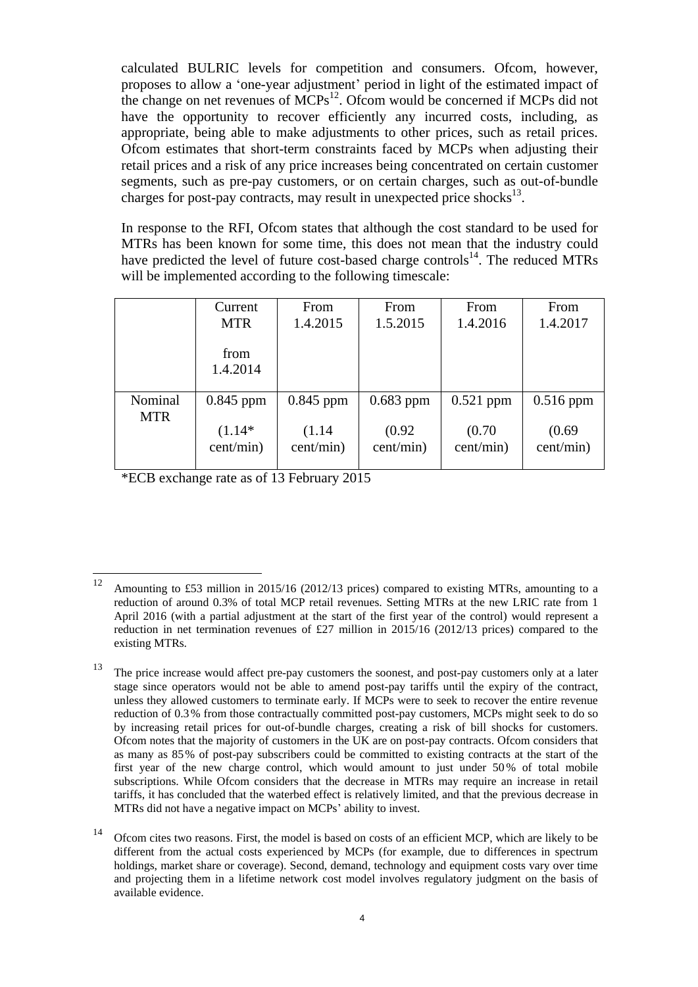calculated BULRIC levels for competition and consumers. Ofcom, however, proposes to allow a 'one-year adjustment' period in light of the estimated impact of the change on net revenues of  $\text{MCPs}^{12}$ . Ofcom would be concerned if MCPs did not have the opportunity to recover efficiently any incurred costs, including, as appropriate, being able to make adjustments to other prices, such as retail prices. Ofcom estimates that short-term constraints faced by MCPs when adjusting their retail prices and a risk of any price increases being concentrated on certain customer segments, such as pre-pay customers, or on certain charges, such as out-of-bundle charges for post-pay contracts, may result in unexpected price shocks $^{13}$ .

In response to the RFI, Ofcom states that although the cost standard to be used for MTRs has been known for some time, this does not mean that the industry could have predicted the level of future cost-based charge controls $^{14}$ . The reduced MTRs will be implemented according to the following timescale:

|                       | Current          | From        | From        | From        | From        |
|-----------------------|------------------|-------------|-------------|-------------|-------------|
|                       | <b>MTR</b>       | 1.4.2015    | 1.5.2015    | 1.4.2016    | 1.4.2017    |
|                       | from<br>1.4.2014 |             |             |             |             |
| Nominal<br><b>MTR</b> | $0.845$ ppm      | $0.845$ ppm | $0.683$ ppm | $0.521$ ppm | $0.516$ ppm |
|                       | $(1.14*)$        | (1.14)      | (0.92)      | (0.70)      | (0.69)      |
|                       | cent/min)        | cent/min)   | cent/min)   | cent/min)   | cent/min)   |

\*ECB exchange rate as of 13 February 2015

<sup>12</sup> <sup>12</sup> Amounting to £53 million in 2015/16 (2012/13 prices) compared to existing MTRs, amounting to a reduction of around 0.3% of total MCP retail revenues. Setting MTRs at the new LRIC rate from 1 April 2016 (with a partial adjustment at the start of the first year of the control) would represent a reduction in net termination revenues of £27 million in 2015/16 (2012/13 prices) compared to the existing MTRs.

The price increase would affect pre-pay customers the soonest, and post-pay customers only at a later stage since operators would not be able to amend post-pay tariffs until the expiry of the contract, unless they allowed customers to terminate early. If MCPs were to seek to recover the entire revenue reduction of 0.3% from those contractually committed post-pay customers, MCPs might seek to do so by increasing retail prices for out-of-bundle charges, creating a risk of bill shocks for customers. Ofcom notes that the majority of customers in the UK are on post-pay contracts. Ofcom considers that as many as 85% of post-pay subscribers could be committed to existing contracts at the start of the first year of the new charge control, which would amount to just under 50 % of total mobile subscriptions. While Ofcom considers that the decrease in MTRs may require an increase in retail tariffs, it has concluded that the waterbed effect is relatively limited, and that the previous decrease in MTRs did not have a negative impact on MCPs' ability to invest.

<sup>&</sup>lt;sup>14</sup> Ofcom cites two reasons. First, the model is based on costs of an efficient MCP, which are likely to be different from the actual costs experienced by MCPs (for example, due to differences in spectrum holdings, market share or coverage). Second, demand, technology and equipment costs vary over time and projecting them in a lifetime network cost model involves regulatory judgment on the basis of available evidence.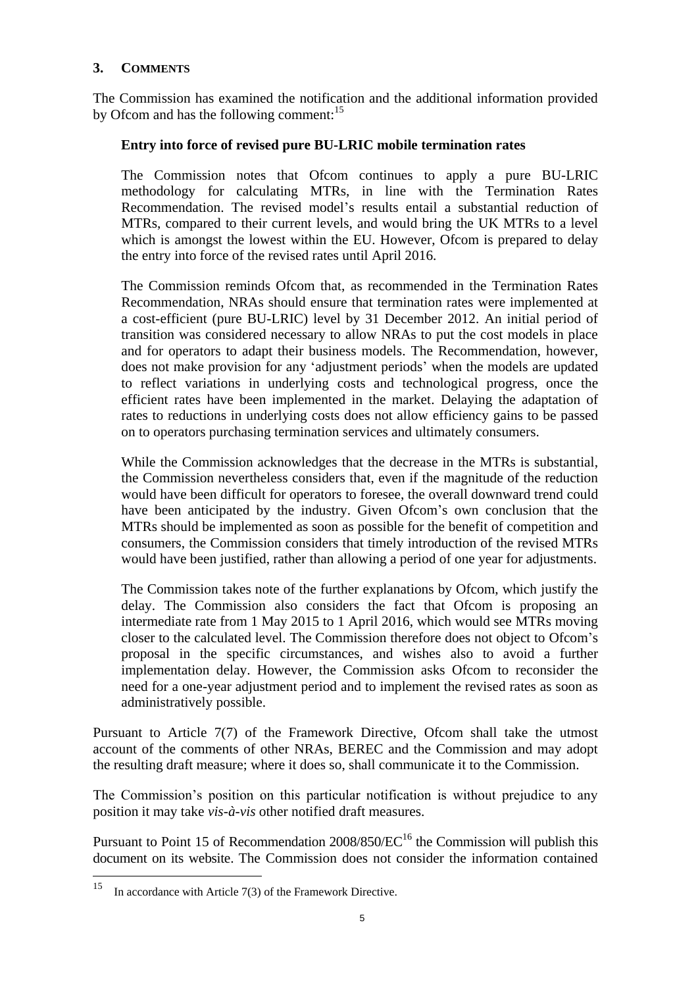## **3. COMMENTS**

The Commission has examined the notification and the additional information provided by Ofcom and has the following comment:<sup>15</sup>

#### **Entry into force of revised pure BU-LRIC mobile termination rates**

The Commission notes that Ofcom continues to apply a pure BU-LRIC methodology for calculating MTRs, in line with the Termination Rates Recommendation. The revised model's results entail a substantial reduction of MTRs, compared to their current levels, and would bring the UK MTRs to a level which is amongst the lowest within the EU. However, Ofcom is prepared to delay the entry into force of the revised rates until April 2016.

The Commission reminds Ofcom that, as recommended in the Termination Rates Recommendation, NRAs should ensure that termination rates were implemented at a cost-efficient (pure BU-LRIC) level by 31 December 2012. An initial period of transition was considered necessary to allow NRAs to put the cost models in place and for operators to adapt their business models. The Recommendation, however, does not make provision for any 'adjustment periods' when the models are updated to reflect variations in underlying costs and technological progress, once the efficient rates have been implemented in the market. Delaying the adaptation of rates to reductions in underlying costs does not allow efficiency gains to be passed on to operators purchasing termination services and ultimately consumers.

While the Commission acknowledges that the decrease in the MTRs is substantial, the Commission nevertheless considers that, even if the magnitude of the reduction would have been difficult for operators to foresee, the overall downward trend could have been anticipated by the industry. Given Ofcom's own conclusion that the MTRs should be implemented as soon as possible for the benefit of competition and consumers, the Commission considers that timely introduction of the revised MTRs would have been justified, rather than allowing a period of one year for adjustments.

The Commission takes note of the further explanations by Ofcom, which justify the delay. The Commission also considers the fact that Ofcom is proposing an intermediate rate from 1 May 2015 to 1 April 2016, which would see MTRs moving closer to the calculated level. The Commission therefore does not object to Ofcom's proposal in the specific circumstances, and wishes also to avoid a further implementation delay. However, the Commission asks Ofcom to reconsider the need for a one-year adjustment period and to implement the revised rates as soon as administratively possible.

Pursuant to Article 7(7) of the Framework Directive, Ofcom shall take the utmost account of the comments of other NRAs, BEREC and the Commission and may adopt the resulting draft measure; where it does so, shall communicate it to the Commission.

The Commission's position on this particular notification is without prejudice to any position it may take *vis-à-vis* other notified draft measures.

Pursuant to Point 15 of Recommendation  $2008/850/EC^{16}$  the Commission will publish this document on its website. The Commission does not consider the information contained

<sup>15</sup> In accordance with Article 7(3) of the Framework Directive.